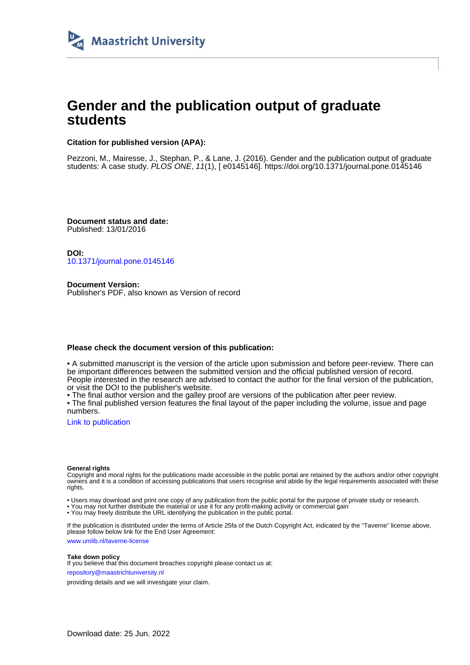

## **Gender and the publication output of graduate students**

#### **Citation for published version (APA):**

Pezzoni, M., Mairesse, J., Stephan, P., & Lane, J. (2016). Gender and the publication output of graduate students: A case study. PLOS ONE, 11(1), [ e0145146].<https://doi.org/10.1371/journal.pone.0145146>

**Document status and date:** Published: 13/01/2016

**DOI:** [10.1371/journal.pone.0145146](https://doi.org/10.1371/journal.pone.0145146)

**Document Version:** Publisher's PDF, also known as Version of record

#### **Please check the document version of this publication:**

• A submitted manuscript is the version of the article upon submission and before peer-review. There can be important differences between the submitted version and the official published version of record. People interested in the research are advised to contact the author for the final version of the publication, or visit the DOI to the publisher's website.

• The final author version and the galley proof are versions of the publication after peer review.

• The final published version features the final layout of the paper including the volume, issue and page numbers.

[Link to publication](https://cris.maastrichtuniversity.nl/en/publications/76d7715e-f802-4d1f-985f-13571e97b729)

#### **General rights**

Copyright and moral rights for the publications made accessible in the public portal are retained by the authors and/or other copyright owners and it is a condition of accessing publications that users recognise and abide by the legal requirements associated with these rights.

• Users may download and print one copy of any publication from the public portal for the purpose of private study or research.

• You may not further distribute the material or use it for any profit-making activity or commercial gain

• You may freely distribute the URL identifying the publication in the public portal.

If the publication is distributed under the terms of Article 25fa of the Dutch Copyright Act, indicated by the "Taverne" license above, please follow below link for the End User Agreement:

www.umlib.nl/taverne-license

#### **Take down policy**

If you believe that this document breaches copyright please contact us at: repository@maastrichtuniversity.nl

providing details and we will investigate your claim.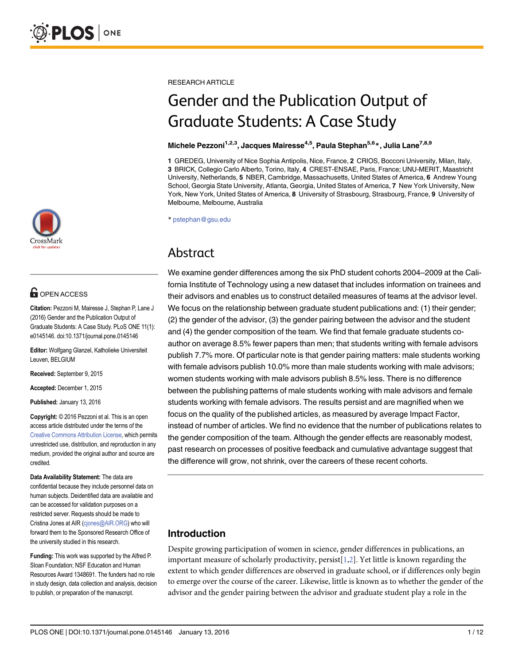

## **OPEN ACCESS**

Citation: Pezzoni M, Mairesse J, Stephan P, Lane J (2016) Gender and the Publication Output of Graduate Students: A Case Study. PLoS ONE 11(1): e0145146. doi:10.1371/journal.pone.0145146

Editor: Wolfgang Glanzel, Katholieke Universiteit Leuven, BELGIUM

Received: September 9, 2015

Accepted: December 1, 2015

Published: January 13, 2016

Copyright: © 2016 Pezzoni et al. This is an open access article distributed under the terms of the [Creative Commons Attribution License,](http://creativecommons.org/licenses/by/4.0/) which permits unrestricted use, distribution, and reproduction in any medium, provided the original author and source are credited.

Data Availability Statement: The data are confidential because they include personnel data on human subjects. Deidentified data are available and can be accessed for validation purposes on a restricted server. Requests should be made to Cristina Jones at AIR (cjones@AIR.ORG) who will forward them to the Sponsored Research Office of the university studied in this research.

Funding: This work was supported by the Alfred P. Sloan Foundation; NSF Education and Human Resources Award 1348691. The funders had no role in study design, data collection and analysis, decision to publish, or preparation of the manuscript.

<span id="page-1-0"></span>RESEARCH ARTICLE

# Gender and the Publication Output of Graduate Students: A Case Study

#### Michele Pezzoni<sup>1,2,3</sup>, Jacques Mairesse<sup>4,5</sup>, Paula Stephan<sup>5,6\*</sup>, Julia Lane<sup>7,8,9</sup>

1 GREDEG, University of Nice Sophia Antipolis, Nice, France, 2 CRIOS, Bocconi University, Milan, Italy, 3 BRICK, Collegio Carlo Alberto, Torino, Italy, 4 CREST-ENSAE, Paris, France; UNU-MERIT, Maastricht University, Netherlands, 5 NBER, Cambridge, Massachusetts, United States of America, 6 Andrew Young School, Georgia State University, Atlanta, Georgia, United States of America, 7 New York University, New York, New York, United States of America, 8 University of Strasbourg, Strasbourg, France, 9 University of Melbourne, Melbourne, Australia

\* pstephan@gsu.edu

## Abstract

We examine gender differences among the six PhD student cohorts 2004–2009 at the California Institute of Technology using a new dataset that includes information on trainees and their advisors and enables us to construct detailed measures of teams at the advisor level. We focus on the relationship between graduate student publications and: (1) their gender; (2) the gender of the advisor, (3) the gender pairing between the advisor and the student and (4) the gender composition of the team. We find that female graduate students coauthor on average 8.5% fewer papers than men; that students writing with female advisors publish 7.7% more. Of particular note is that gender pairing matters: male students working with female advisors publish 10.0% more than male students working with male advisors; women students working with male advisors publish 8.5% less. There is no difference between the publishing patterns of male students working with male advisors and female students working with female advisors. The results persist and are magnified when we focus on the quality of the published articles, as measured by average Impact Factor, instead of number of articles. We find no evidence that the number of publications relates to the gender composition of the team. Although the gender effects are reasonably modest, past research on processes of positive feedback and cumulative advantage suggest that the difference will grow, not shrink, over the careers of these recent cohorts.

### Introduction

Despite growing participation of women in science, gender differences in publications, an important measure of scholarly productivity, persist[[1,2\]](#page-11-0). Yet little is known regarding the extent to which gender differences are observed in graduate school, or if differences only begin to emerge over the course of the career. Likewise, little is known as to whether the gender of the advisor and the gender pairing between the advisor and graduate student play a role in the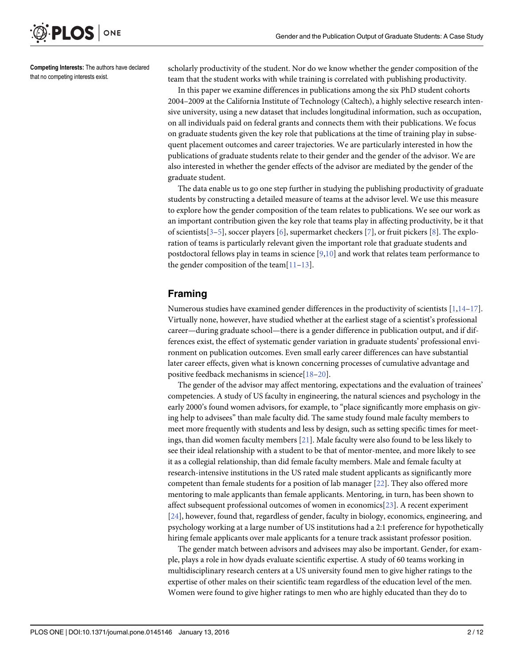<span id="page-2-0"></span>

Competing Interests: The authors have declared that no competing interests exist.

scholarly productivity of the student. Nor do we know whether the gender composition of the team that the student works with while training is correlated with publishing productivity.

In this paper we examine differences in publications among the six PhD student cohorts 2004–2009 at the California Institute of Technology (Caltech), a highly selective research intensive university, using a new dataset that includes longitudinal information, such as occupation, on all individuals paid on federal grants and connects them with their publications. We focus on graduate students given the key role that publications at the time of training play in subsequent placement outcomes and career trajectories. We are particularly interested in how the publications of graduate students relate to their gender and the gender of the advisor. We are also interested in whether the gender effects of the advisor are mediated by the gender of the graduate student.

The data enable us to go one step further in studying the publishing productivity of graduate students by constructing a detailed measure of teams at the advisor level. We use this measure to explore how the gender composition of the team relates to publications. We see our work as an important contribution given the key role that teams play in affecting productivity, be it that of scientists[[3](#page-11-0)–[5](#page-11-0)], soccer players [[6\]](#page-11-0), supermarket checkers [[7](#page-11-0)], or fruit pickers [[8\]](#page-11-0). The exploration of teams is particularly relevant given the important role that graduate students and postdoctoral fellows play in teams in science  $[9,10]$  $[9,10]$  $[9,10]$  $[9,10]$  $[9,10]$  and work that relates team performance to the gender composition of the team $[11-13]$  $[11-13]$  $[11-13]$  $[11-13]$ .

#### Framing

Numerous studies have examined gender differences in the productivity of scientists [\[1,14](#page-11-0)-[17\]](#page-11-0). Virtually none, however, have studied whether at the earliest stage of a scientist's professional career—during graduate school—there is a gender difference in publication output, and if differences exist, the effect of systematic gender variation in graduate students' professional environment on publication outcomes. Even small early career differences can have substantial later career effects, given what is known concerning processes of cumulative advantage and positive feedback mechanisms in science[[18](#page-12-0)–[20](#page-12-0)].

The gender of the advisor may affect mentoring, expectations and the evaluation of trainees' competencies. A study of US faculty in engineering, the natural sciences and psychology in the early 2000's found women advisors, for example, to "place significantly more emphasis on giving help to advisees" than male faculty did. The same study found male faculty members to meet more frequently with students and less by design, such as setting specific times for meetings, than did women faculty members [\[21](#page-12-0)]. Male faculty were also found to be less likely to see their ideal relationship with a student to be that of mentor-mentee, and more likely to see it as a collegial relationship, than did female faculty members. Male and female faculty at research-intensive institutions in the US rated male student applicants as significantly more competent than female students for a position of lab manager [[22](#page-12-0)]. They also offered more mentoring to male applicants than female applicants. Mentoring, in turn, has been shown to affect subsequent professional outcomes of women in economics[\[23\]](#page-12-0). A recent experiment [\[24](#page-12-0)], however, found that, regardless of gender, faculty in biology, economics, engineering, and psychology working at a large number of US institutions had a 2:1 preference for hypothetically hiring female applicants over male applicants for a tenure track assistant professor position.

The gender match between advisors and advisees may also be important. Gender, for example, plays a role in how dyads evaluate scientific expertise. A study of 60 teams working in multidisciplinary research centers at a US university found men to give higher ratings to the expertise of other males on their scientific team regardless of the education level of the men. Women were found to give higher ratings to men who are highly educated than they do to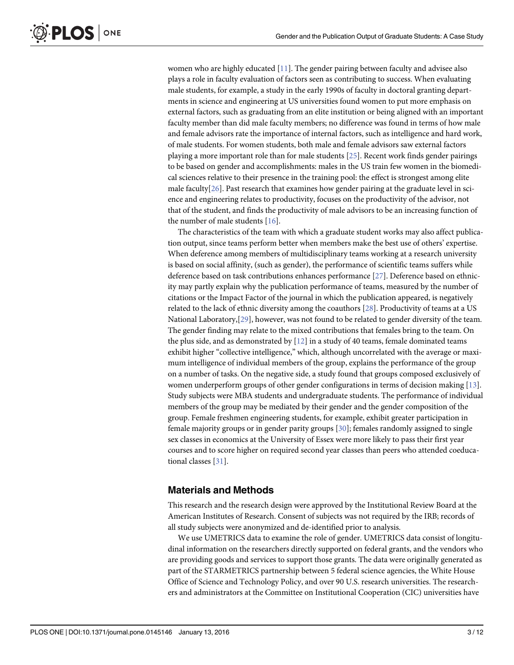women who are highly educated  $[11]$  $[11]$  $[11]$ . The gender pairing between faculty and advisee also plays a role in faculty evaluation of factors seen as contributing to success. When evaluating male students, for example, a study in the early 1990s of faculty in doctoral granting departments in science and engineering at US universities found women to put more emphasis on external factors, such as graduating from an elite institution or being aligned with an important faculty member than did male faculty members; no difference was found in terms of how male and female advisors rate the importance of internal factors, such as intelligence and hard work, of male students. For women students, both male and female advisors saw external factors playing a more important role than for male students [[25\]](#page-12-0). Recent work finds gender pairings to be based on gender and accomplishments: males in the US train few women in the biomedical sciences relative to their presence in the training pool: the effect is strongest among elite male faculty $[26]$  $[26]$  $[26]$ . Past research that examines how gender pairing at the graduate level in science and engineering relates to productivity, focuses on the productivity of the advisor, not that of the student, and finds the productivity of male advisors to be an increasing function of the number of male students  $[16]$  $[16]$ .

The characteristics of the team with which a graduate student works may also affect publication output, since teams perform better when members make the best use of others' expertise. When deference among members of multidisciplinary teams working at a research university is based on social affinity, (such as gender), the performance of scientific teams suffers while deference based on task contributions enhances performance [\[27\]](#page-12-0). Deference based on ethnicity may partly explain why the publication performance of teams, measured by the number of citations or the Impact Factor of the journal in which the publication appeared, is negatively related to the lack of ethnic diversity among the coauthors [\[28\]](#page-12-0). Productivity of teams at a US National Laboratory,[[29](#page-12-0)], however, was not found to be related to gender diversity of the team. The gender finding may relate to the mixed contributions that females bring to the team. On the plus side, and as demonstrated by  $[12]$  $[12]$  in a study of 40 teams, female dominated teams exhibit higher "collective intelligence," which, although uncorrelated with the average or maximum intelligence of individual members of the group, explains the performance of the group on a number of tasks. On the negative side, a study found that groups composed exclusively of women underperform groups of other gender configurations in terms of decision making [\[13](#page-11-0)]. Study subjects were MBA students and undergraduate students. The performance of individual members of the group may be mediated by their gender and the gender composition of the group. Female freshmen engineering students, for example, exhibit greater participation in female majority groups or in gender parity groups [\[30\]](#page-12-0); females randomly assigned to single sex classes in economics at the University of Essex were more likely to pass their first year courses and to score higher on required second year classes than peers who attended coeducational classes [[31\]](#page-12-0).

#### Materials and Methods

This research and the research design were approved by the Institutional Review Board at the American Institutes of Research. Consent of subjects was not required by the IRB; records of all study subjects were anonymized and de-identified prior to analysis.

We use UMETRICS data to examine the role of gender. UMETRICS data consist of longitudinal information on the researchers directly supported on federal grants, and the vendors who are providing goods and services to support those grants. The data were originally generated as part of the STARMETRICS partnership between 5 federal science agencies, the White House Office of Science and Technology Policy, and over 90 U.S. research universities. The researchers and administrators at the Committee on Institutional Cooperation (CIC) universities have

<span id="page-3-0"></span>**PLOS I** 

ONE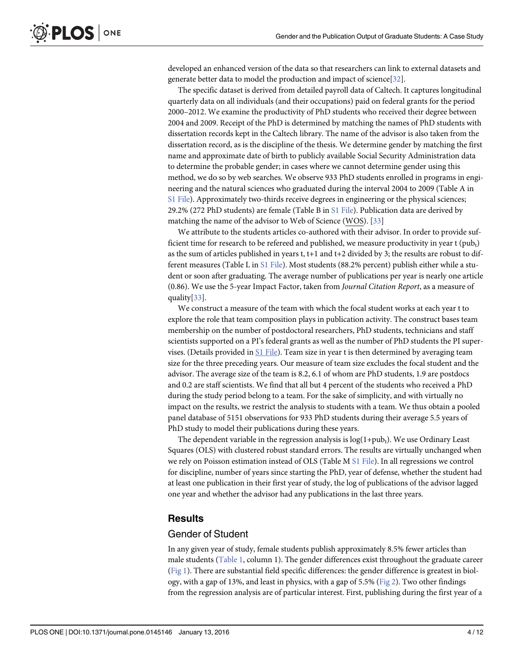<span id="page-4-0"></span>developed an enhanced version of the data so that researchers can link to external datasets and generate better data to model the production and impact of science[[32\]](#page-12-0).

The specific dataset is derived from detailed payroll data of Caltech. It captures longitudinal quarterly data on all individuals (and their occupations) paid on federal grants for the period 2000–2012. We examine the productivity of PhD students who received their degree between 2004 and 2009. Receipt of the PhD is determined by matching the names of PhD students with dissertation records kept in the Caltech library. The name of the advisor is also taken from the dissertation record, as is the discipline of the thesis. We determine gender by matching the first name and approximate date of birth to publicly available Social Security Administration data to determine the probable gender; in cases where we cannot determine gender using this method, we do so by web searches. We observe 933 PhD students enrolled in programs in engineering and the natural sciences who graduated during the interval 2004 to 2009 (Table A in [S1 File](#page-10-0)). Approximately two-thirds receive degrees in engineering or the physical sciences; 29.2% (272 PhD students) are female (Table B in [S1 File\)](#page-10-0). Publication data are derived by matching the name of the advisor to Web of Science (WOS). [[33](#page-12-0)]

We attribute to the students articles co-authored with their advisor. In order to provide sufficient time for research to be refereed and published, we measure productivity in year  $t$  (pub<sub>t</sub>) as the sum of articles published in years t, t+1 and t+2 divided by 3; the results are robust to different measures (Table L in [S1 File\)](#page-10-0). Most students (88.2% percent) publish either while a student or soon after graduating. The average number of publications per year is nearly one article (0.86). We use the 5-year Impact Factor, taken from Journal Citation Report, as a measure of quality[[33](#page-12-0)].

We construct a measure of the team with which the focal student works at each year t to explore the role that team composition plays in publication activity. The construct bases team membership on the number of postdoctoral researchers, PhD students, technicians and staff scientists supported on a PI's federal grants as well as the number of PhD students the PI supervises. (Details provided in [S1 File\)](#page-10-0). Team size in year t is then determined by averaging team size for the three preceding years. Our measure of team size excludes the focal student and the advisor. The average size of the team is 8.2, 6.1 of whom are PhD students, 1.9 are postdocs and 0.2 are staff scientists. We find that all but 4 percent of the students who received a PhD during the study period belong to a team. For the sake of simplicity, and with virtually no impact on the results, we restrict the analysis to students with a team. We thus obtain a pooled panel database of 5151 observations for 933 PhD students during their average 5.5 years of PhD study to model their publications during these years.

The dependent variable in the regression analysis is  $log(1+pub<sub>t</sub>)$ . We use Ordinary Least Squares (OLS) with clustered robust standard errors. The results are virtually unchanged when we rely on Poisson estimation instead of OLS (Table M [S1 File\)](#page-10-0). In all regressions we control for discipline, number of years since starting the PhD, year of defense, whether the student had at least one publication in their first year of study, the log of publications of the advisor lagged one year and whether the advisor had any publications in the last three years.

#### **Results**

#### Gender of Student

In any given year of study, female students publish approximately 8.5% fewer articles than male students ( $Table 1$ , column 1). The gender differences exist throughout the graduate career [\(Fig 1\)](#page-6-0). There are substantial field specific differences: the gender difference is greatest in biology, with a gap of 13%, and least in physics, with a gap of 5.5% ( $Fig 2$ ). Two other findings from the regression analysis are of particular interest. First, publishing during the first year of a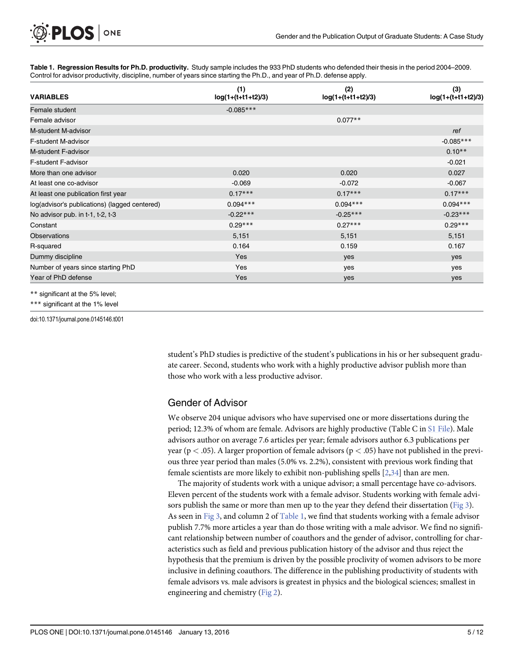[Table 1.](#page-4-0) Regression Results for Ph.D. productivity. Study sample includes the 933 PhD students who defended their thesis in the period 2004-2009. Control for advisor productivity, discipline, number of years since starting the Ph.D., and year of Ph.D. defense apply.

| <b>VARIABLES</b>                              | (1)<br>log(1+(t+t1+t2)/3) | (2)<br>$log(1+(t+t1+t2)/3)$ | (3)<br>$log(1+(t+t1+t2)/3)$ |
|-----------------------------------------------|---------------------------|-----------------------------|-----------------------------|
| Female student                                | $-0.085***$               |                             |                             |
| Female advisor                                |                           | $0.077**$                   |                             |
| M-student M-advisor                           |                           |                             | ref                         |
| F-student M-advisor                           |                           |                             | $-0.085***$                 |
| M-student F-advisor                           |                           |                             | $0.10**$                    |
| <b>F-student F-advisor</b>                    |                           |                             | $-0.021$                    |
| More than one advisor                         | 0.020                     | 0.020                       | 0.027                       |
| At least one co-advisor                       | $-0.069$                  | $-0.072$                    | $-0.067$                    |
| At least one publication first year           | $0.17***$                 | $0.17***$                   | $0.17***$                   |
| log(advisor's publications) (lagged centered) | $0.094***$                | $0.094***$                  | $0.094***$                  |
| No advisor pub. in t-1, t-2, t-3              | $-0.22***$                | $-0.25***$                  | $-0.23***$                  |
| Constant                                      | $0.29***$                 | $0.27***$                   | $0.29***$                   |
| <b>Observations</b>                           | 5,151                     | 5,151                       | 5,151                       |
| R-squared                                     | 0.164                     | 0.159                       | 0.167                       |
| Dummy discipline                              | Yes                       | yes                         | yes                         |
| Number of years since starting PhD            | Yes                       | yes                         | yes                         |
| Year of PhD defense                           | Yes                       | yes                         | yes                         |

\*\* significant at the 5% level;

ONE

<span id="page-5-0"></span>**PLOS I** 

\*\*\* significant at the 1% level

doi:10.1371/journal.pone.0145146.t001

student's PhD studies is predictive of the student's publications in his or her subsequent graduate career. Second, students who work with a highly productive advisor publish more than those who work with a less productive advisor.

#### Gender of Advisor

We observe 204 unique advisors who have supervised one or more dissertations during the period; 12.3% of whom are female. Advisors are highly productive (Table C in [S1 File](#page-10-0)). Male advisors author on average 7.6 articles per year; female advisors author 6.3 publications per year ( $p < .05$ ). A larger proportion of female advisors ( $p < .05$ ) have not published in the previous three year period than males (5.0% vs. 2.2%), consistent with previous work finding that female scientists are more likely to exhibit non-publishing spells [[2](#page-11-0),[34](#page-12-0)] than are men.

The majority of students work with a unique advisor; a small percentage have co-advisors. Eleven percent of the students work with a female advisor. Students working with female advi-sors publish the same or more than men up to the year they defend their dissertation ([Fig 3\)](#page-8-0). As seen in [Fig 3,](#page-8-0) and column 2 of Table 1, we find that students working with a female advisor publish 7.7% more articles a year than do those writing with a male advisor. We find no significant relationship between number of coauthors and the gender of advisor, controlling for characteristics such as field and previous publication history of the advisor and thus reject the hypothesis that the premium is driven by the possible proclivity of women advisors to be more inclusive in defining coauthors. The difference in the publishing productivity of students with female advisors vs. male advisors is greatest in physics and the biological sciences; smallest in engineering and chemistry [\(Fig 2\)](#page-7-0).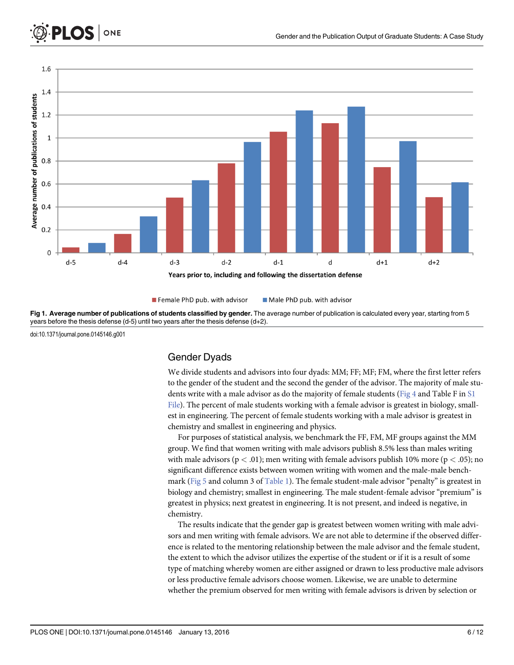<span id="page-6-0"></span>

Male PhD pub. with advisor Female PhD pub. with advisor

[Fig 1. A](#page-4-0)verage number of publications of students classified by gender. The average number of publication is calculated every year, starting from 5 years before the thesis defense (d-5) until two years after the thesis defense (d+2).

doi:10.1371/journal.pone.0145146.g001

#### Gender Dyads

We divide students and advisors into four dyads: MM; FF; MF; FM, where the first letter refers to the gender of the student and the second the gender of the advisor. The majority of male stu-dents write with a male advisor as do the majority of female students [\(Fig 4](#page-8-0) and Table F in [S1](#page-10-0) [File](#page-10-0)). The percent of male students working with a female advisor is greatest in biology, smallest in engineering. The percent of female students working with a male advisor is greatest in chemistry and smallest in engineering and physics.

For purposes of statistical analysis, we benchmark the FF, FM, MF groups against the MM group. We find that women writing with male advisors publish 8.5% less than males writing with male advisors ( $p < .01$ ); men writing with female advisors publish 10% more ( $p < .05$ ); no significant difference exists between women writing with women and the male-male benchmark ([Fig 5](#page-9-0) and column 3 of [Table 1](#page-5-0)). The female student-male advisor "penalty" is greatest in biology and chemistry; smallest in engineering. The male student-female advisor "premium" is greatest in physics; next greatest in engineering. It is not present, and indeed is negative, in chemistry.

The results indicate that the gender gap is greatest between women writing with male advisors and men writing with female advisors. We are not able to determine if the observed difference is related to the mentoring relationship between the male advisor and the female student, the extent to which the advisor utilizes the expertise of the student or if it is a result of some type of matching whereby women are either assigned or drawn to less productive male advisors or less productive female advisors choose women. Likewise, we are unable to determine whether the premium observed for men writing with female advisors is driven by selection or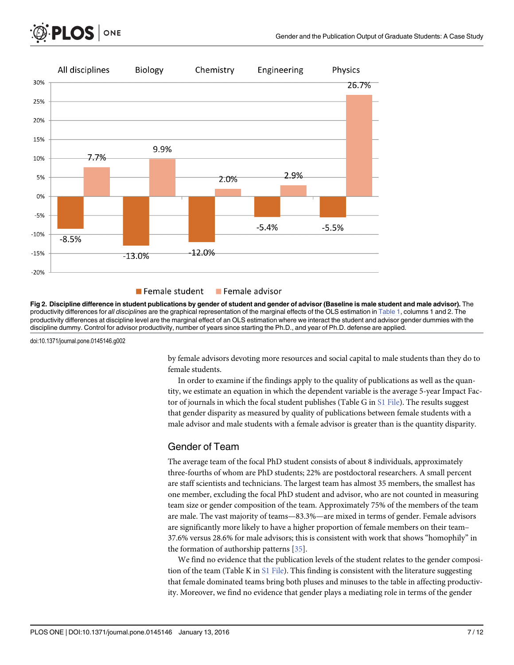<span id="page-7-0"></span>



#### **Female student Female advisor**

[Fig 2. D](#page-4-0)iscipline difference in student publications by gender of student and gender of advisor (Baseline is male student and male advisor). The productivity differences for all disciplines are the graphical representation of the marginal effects of the OLS estimation in [Table 1](#page-5-0), columns 1 and 2. The productivity differences at discipline level are the marginal effect of an OLS estimation where we interact the student and advisor gender dummies with the discipline dummy. Control for advisor productivity, number of years since starting the Ph.D., and year of Ph.D. defense are applied.

doi:10.1371/journal.pone.0145146.g002

by female advisors devoting more resources and social capital to male students than they do to female students.

In order to examine if the findings apply to the quality of publications as well as the quantity, we estimate an equation in which the dependent variable is the average 5-year Impact Factor of journals in which the focal student publishes (Table G in  $SI$  File). The results suggest that gender disparity as measured by quality of publications between female students with a male advisor and male students with a female advisor is greater than is the quantity disparity.

#### Gender of Team

The average team of the focal PhD student consists of about 8 individuals, approximately three-fourths of whom are PhD students; 22% are postdoctoral researchers. A small percent are staff scientists and technicians. The largest team has almost 35 members, the smallest has one member, excluding the focal PhD student and advisor, who are not counted in measuring team size or gender composition of the team. Approximately 75% of the members of the team are male. The vast majority of teams—83.3%—are mixed in terms of gender. Female advisors are significantly more likely to have a higher proportion of female members on their team– 37.6% versus 28.6% for male advisors; this is consistent with work that shows "homophily" in the formation of authorship patterns [[35\]](#page-12-0).

We find no evidence that the publication levels of the student relates to the gender composition of the team (Table K in [S1 File](#page-10-0)). This finding is consistent with the literature suggesting that female dominated teams bring both pluses and minuses to the table in affecting productivity. Moreover, we find no evidence that gender plays a mediating role in terms of the gender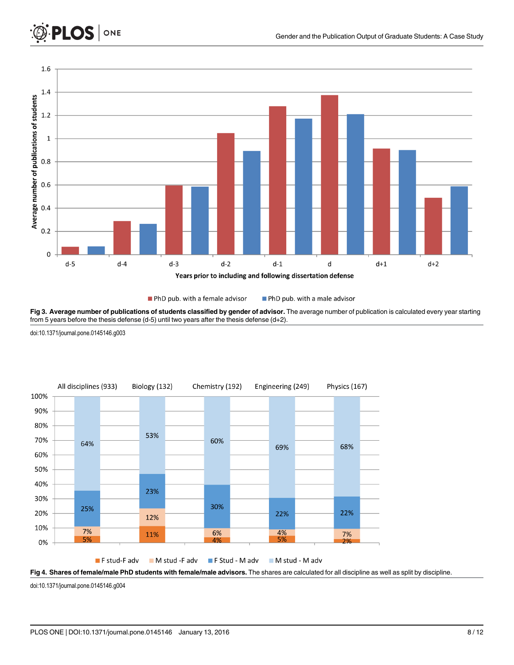<span id="page-8-0"></span>

PhD pub. with a female advisor PhD pub. with a male advisor

[Fig 3. A](#page-5-0)verage number of publications of students classified by gender of advisor. The average number of publication is calculated every year starting from 5 years before the thesis defense (d-5) until two years after the thesis defense (d+2).

doi:10.1371/journal.pone.0145146.g003





doi:10.1371/journal.pone.0145146.g004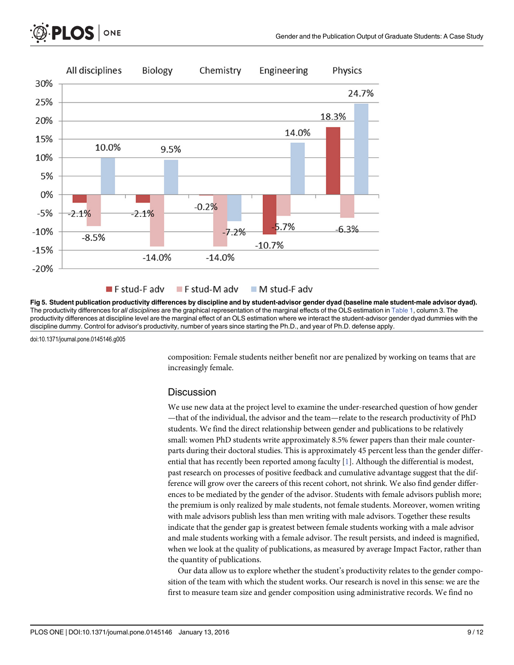<span id="page-9-0"></span>



[Fig 5. S](#page-6-0)tudent publication productivity differences by discipline and by student-advisor gender dyad (baseline male student-male advisor dyad). The productivity differences for all disciplines are the graphical representation of the marginal effects of the OLS estimation in [Table 1](#page-5-0), column 3. The productivity differences at discipline level are the marginal effect of an OLS estimation where we interact the student-advisor gender dyad dummies with the discipline dummy. Control for advisor's productivity, number of years since starting the Ph.D., and year of Ph.D. defense apply.

doi:10.1371/journal.pone.0145146.g005

composition: Female students neither benefit nor are penalized by working on teams that are increasingly female.

#### **Discussion**

We use new data at the project level to examine the under-researched question of how gender —that of the individual, the advisor and the team—relate to the research productivity of PhD students. We find the direct relationship between gender and publications to be relatively small: women PhD students write approximately 8.5% fewer papers than their male counterparts during their doctoral studies. This is approximately 45 percent less than the gender differ-ential that has recently been reported among faculty [\[1\]](#page-11-0). Although the differential is modest, past research on processes of positive feedback and cumulative advantage suggest that the difference will grow over the careers of this recent cohort, not shrink. We also find gender differences to be mediated by the gender of the advisor. Students with female advisors publish more; the premium is only realized by male students, not female students. Moreover, women writing with male advisors publish less than men writing with male advisors. Together these results indicate that the gender gap is greatest between female students working with a male advisor and male students working with a female advisor. The result persists, and indeed is magnified, when we look at the quality of publications, as measured by average Impact Factor, rather than the quantity of publications.

Our data allow us to explore whether the student's productivity relates to the gender composition of the team with which the student works. Our research is novel in this sense: we are the first to measure team size and gender composition using administrative records. We find no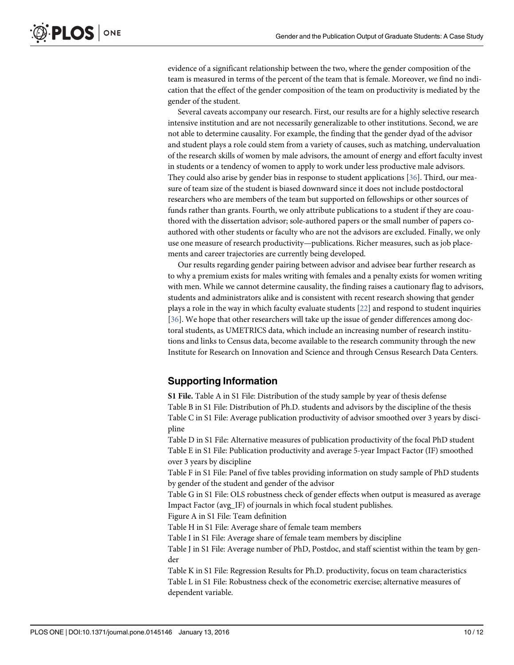<span id="page-10-0"></span>evidence of a significant relationship between the two, where the gender composition of the team is measured in terms of the percent of the team that is female. Moreover, we find no indication that the effect of the gender composition of the team on productivity is mediated by the gender of the student.

Several caveats accompany our research. First, our results are for a highly selective research intensive institution and are not necessarily generalizable to other institutions. Second, we are not able to determine causality. For example, the finding that the gender dyad of the advisor and student plays a role could stem from a variety of causes, such as matching, undervaluation of the research skills of women by male advisors, the amount of energy and effort faculty invest in students or a tendency of women to apply to work under less productive male advisors. They could also arise by gender bias in response to student applications [[36](#page-12-0)]. Third, our measure of team size of the student is biased downward since it does not include postdoctoral researchers who are members of the team but supported on fellowships or other sources of funds rather than grants. Fourth, we only attribute publications to a student if they are coauthored with the dissertation advisor; sole-authored papers or the small number of papers coauthored with other students or faculty who are not the advisors are excluded. Finally, we only use one measure of research productivity—publications. Richer measures, such as job placements and career trajectories are currently being developed.

Our results regarding gender pairing between advisor and advisee bear further research as to why a premium exists for males writing with females and a penalty exists for women writing with men. While we cannot determine causality, the finding raises a cautionary flag to advisors, students and administrators alike and is consistent with recent research showing that gender plays a role in the way in which faculty evaluate students [[22](#page-12-0)] and respond to student inquiries [\[36](#page-12-0)]. We hope that other researchers will take up the issue of gender differences among doctoral students, as UMETRICS data, which include an increasing number of research institutions and links to Census data, become available to the research community through the new Institute for Research on Innovation and Science and through Census Research Data Centers.

#### Supporting Information

[S1 File.](http://www.plosone.org/article/fetchSingleRepresentation.action?uri=info:doi/10.1371/journal.pone.0145146.s001) Table A in S1 File: Distribution of the study sample by year of thesis defense Table B in S1 File: Distribution of Ph.D. students and advisors by the discipline of the thesis Table C in S1 File: Average publication productivity of advisor smoothed over 3 years by discipline

Table D in S1 File: Alternative measures of publication productivity of the focal PhD student Table E in S1 File: Publication productivity and average 5-year Impact Factor (IF) smoothed over 3 years by discipline

Table F in S1 File: Panel of five tables providing information on study sample of PhD students by gender of the student and gender of the advisor

Table G in S1 File: OLS robustness check of gender effects when output is measured as average Impact Factor (avg\_IF) of journals in which focal student publishes.

Figure A in S1 File: Team definition

Table H in S1 File: Average share of female team members

Table I in S1 File: Average share of female team members by discipline

Table J in S1 File: Average number of PhD, Postdoc, and staff scientist within the team by gender

Table K in S1 File: Regression Results for Ph.D. productivity, focus on team characteristics Table L in S1 File: Robustness check of the econometric exercise; alternative measures of dependent variable.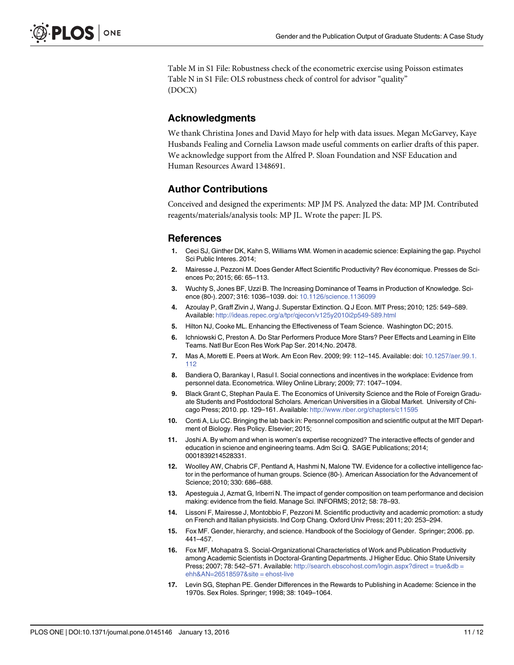<span id="page-11-0"></span>Table M in S1 File: Robustness check of the econometric exercise using Poisson estimates Table N in S1 File: OLS robustness check of control for advisor "quality" (DOCX)

#### Acknowledgments

We thank Christina Jones and David Mayo for help with data issues. Megan McGarvey, Kaye Husbands Fealing and Cornelia Lawson made useful comments on earlier drafts of this paper. We acknowledge support from the Alfred P. Sloan Foundation and NSF Education and Human Resources Award 1348691.

### Author Contributions

Conceived and designed the experiments: MP JM PS. Analyzed the data: MP JM. Contributed reagents/materials/analysis tools: MP JL. Wrote the paper: JL PS.

#### **References**

- [1.](#page-1-0) Ceci SJ, Ginther DK, Kahn S, Williams WM. Women in academic science: Explaining the gap. Psychol Sci Public Interes. 2014;
- [2.](#page-1-0) Mairesse J, Pezzoni M. Does Gender Affect Scientific Productivity? Rev économique. Presses de Sciences Po; 2015; 66: 65–113.
- [3.](#page-2-0) Wuchty S, Jones BF, Uzzi B. The Increasing Dominance of Teams in Production of Knowledge. Science (80-). 2007; 316: 1036–1039. doi: [10.1126/science.1136099](http://dx.doi.org/10.1126/science.1136099)
- 4. Azoulay P, Graff Zivin J, Wang J. Superstar Extinction. Q J Econ. MIT Press; 2010; 125: 549–589. Available: <http://ideas.repec.org/a/tpr/qjecon/v125y2010i2p549-589.html>
- [5.](#page-2-0) Hilton NJ, Cooke ML. Enhancing the Effectiveness of Team Science. Washington DC; 2015.
- [6.](#page-2-0) Ichniowski C, Preston A. Do Star Performers Produce More Stars? Peer Effects and Learning in Elite Teams. Natl Bur Econ Res Work Pap Ser. 2014;No. 20478.
- [7.](#page-2-0) Mas A, Moretti E. Peers at Work. Am Econ Rev. 2009; 99: 112–145. Available: doi: [10.1257/aer.99.1.](http://dx.doi.org/10.1257/aer.99.1.112) [112](http://dx.doi.org/10.1257/aer.99.1.112)
- [8.](#page-2-0) Bandiera O, Barankay I, Rasul I. Social connections and incentives in the workplace: Evidence from personnel data. Econometrica. Wiley Online Library; 2009; 77: 1047–1094.
- [9.](#page-2-0) Black Grant C, Stephan Paula E. The Economics of University Science and the Role of Foreign Graduate Students and Postdoctoral Scholars. American Universities in a Global Market. University of Chicago Press; 2010. pp. 129–161. Available: <http://www.nber.org/chapters/c11595>
- [10.](#page-2-0) Conti A, Liu CC. Bringing the lab back in: Personnel composition and scientific output at the MIT Department of Biology. Res Policy. Elsevier; 2015;
- [11.](#page-2-0) Joshi A. By whom and when is women's expertise recognized? The interactive effects of gender and education in science and engineering teams. Adm Sci Q. SAGE Publications; 2014; 0001839214528331.
- [12.](#page-3-0) Woolley AW, Chabris CF, Pentland A, Hashmi N, Malone TW. Evidence for a collective intelligence factor in the performance of human groups. Science (80-). American Association for the Advancement of Science; 2010; 330: 686–688.
- [13.](#page-2-0) Apesteguia J, Azmat G, Iriberri N. The impact of gender composition on team performance and decision making: evidence from the field. Manage Sci. INFORMS; 2012; 58: 78–93.
- [14.](#page-2-0) Lissoni F, Mairesse J, Montobbio F, Pezzoni M. Scientific productivity and academic promotion: a study on French and Italian physicists. Ind Corp Chang. Oxford Univ Press; 2011; 20: 253–294.
- 15. Fox MF. Gender, hierarchy, and science. Handbook of the Sociology of Gender. Springer; 2006. pp. 441–457.
- [16.](#page-3-0) Fox MF, Mohapatra S. Social-Organizational Characteristics of Work and Publication Productivity among Academic Scientists in Doctoral-Granting Departments. J Higher Educ. Ohio State University Press; 2007; 78: 542–571. Available: [http://search.ebscohost.com/login.aspx?direct = true&db =](http://search.ebscohost.com/login.aspx?direct�=�true&db�=�ehh&AN=26518597&site�=�ehost-live) [ehh&AN=26518597&site = ehost-live](http://search.ebscohost.com/login.aspx?direct�=�true&db�=�ehh&AN=26518597&site�=�ehost-live)
- [17.](#page-2-0) Levin SG, Stephan PE. Gender Differences in the Rewards to Publishing in Academe: Science in the 1970s. Sex Roles. Springer; 1998; 38: 1049–1064.